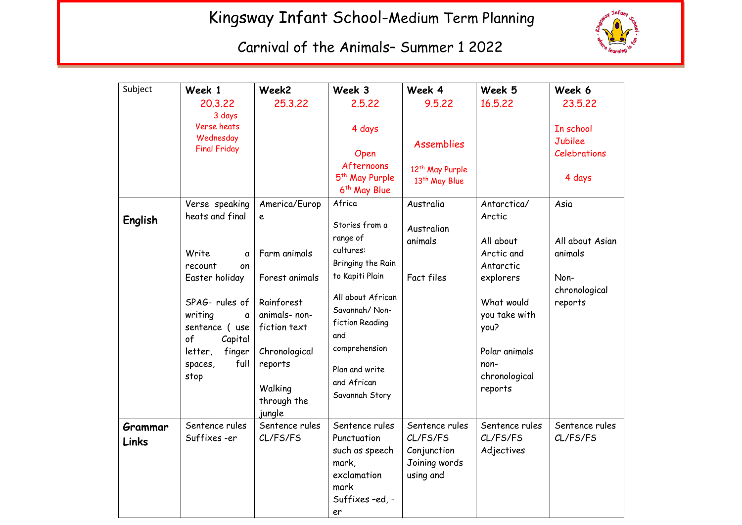## Kingsway Infant School-Medium Term Planning



Carnival of the Animals– Summer 1 2022

| Subject          | Week 1                                                          | Week2                                                        | Week 3                                                                                                  | Week 4                                                                  | Week 5                                            | Week 6                                      |
|------------------|-----------------------------------------------------------------|--------------------------------------------------------------|---------------------------------------------------------------------------------------------------------|-------------------------------------------------------------------------|---------------------------------------------------|---------------------------------------------|
|                  | 20,3,22<br>3 days                                               | 25,3,22                                                      | 2.5.22                                                                                                  | 9.5.22                                                                  | 16,5,22                                           | 23,5,22                                     |
|                  | Verse heats<br>Wednesday<br><b>Final Friday</b>                 |                                                              | 4 days<br>Open<br>Afternoons                                                                            | <b>Assemblies</b><br>12 <sup>th</sup> May Purple                        |                                                   | In school<br>Jubilee<br><b>Celebrations</b> |
|                  |                                                                 |                                                              | 5 <sup>th</sup> May Purple<br>6 <sup>th</sup> May Blue                                                  | 13 <sup>th</sup> May Blue                                               |                                                   | 4 days                                      |
| English          | Verse speaking<br>heats and final                               | America/Europ<br>e                                           | Africa<br>Stories from a                                                                                | Australia<br>Australian                                                 | Antarctica/<br>Arctic                             | Asia                                        |
|                  | Write<br>a<br>recount<br>on                                     | Farm animals                                                 | range of<br>cultures:<br>Bringing the Rain                                                              | animals                                                                 | All about<br>Arctic and<br>Antarctic              | All about Asian<br>animals                  |
|                  | Easter holiday                                                  | Forest animals                                               | to Kapiti Plain                                                                                         | Fact files                                                              | explorers                                         | Non-<br>chronological                       |
|                  | SPAG-rules of<br>writing<br>a<br>sentence (use<br>of<br>Capital | Rainforest<br>animals- non-<br>fiction text                  | All about African<br>Savannah/Non-<br>fiction Reading<br>and                                            |                                                                         | What would<br>you take with<br>you?               | reports                                     |
|                  | finger<br>letter,<br>full<br>spaces,<br>stop                    | Chronological<br>reports<br>Walking<br>through the<br>jungle | comprehension<br>Plan and write<br>and African<br>Savannah Story                                        |                                                                         | Polar animals<br>non-<br>chronological<br>reports |                                             |
| Grammar<br>Links | Sentence rules<br>Suffixes-er                                   | Sentence rules<br>CL/FS/FS                                   | Sentence rules<br>Punctuation<br>such as speech<br>mark,<br>exclamation<br>mark<br>Suffixes-ed, -<br>er | Sentence rules<br>CL/FS/FS<br>Conjunction<br>Joining words<br>using and | Sentence rules<br>CL/FS/FS<br>Adjectives          | Sentence rules<br>CL/FS/FS                  |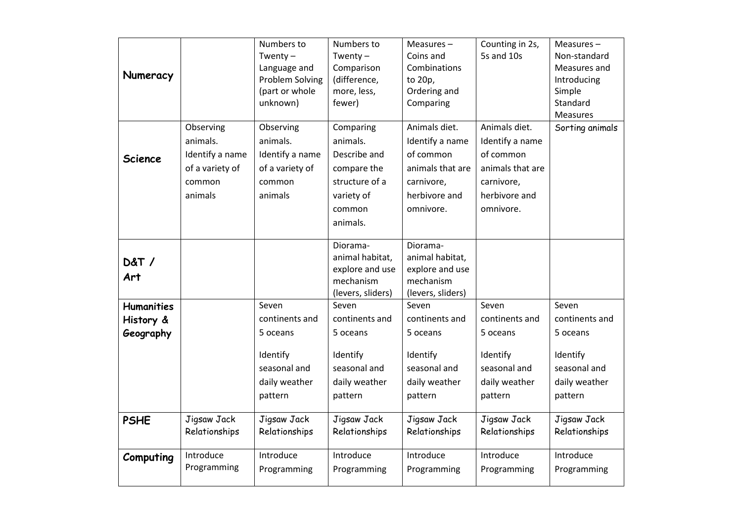| Numeracy                                    |                                                                                  | Numbers to<br>Twenty $-$<br>Language and<br>Problem Solving<br>(part or whole<br>unknown)   | Numbers to<br>Twenty $-$<br>Comparison<br>(difference,<br>more, less,<br>fewer)                            | Measures $-$<br>Coins and<br>Combinations<br>to 20p,<br>Ordering and<br>Comparing                             | Counting in 2s,<br>5s and 10s                                                                                 | Measures-<br>Non-standard<br>Measures and<br>Introducing<br>Simple<br>Standard              |
|---------------------------------------------|----------------------------------------------------------------------------------|---------------------------------------------------------------------------------------------|------------------------------------------------------------------------------------------------------------|---------------------------------------------------------------------------------------------------------------|---------------------------------------------------------------------------------------------------------------|---------------------------------------------------------------------------------------------|
| <b>Science</b>                              | Observing<br>animals.<br>Identify a name<br>of a variety of<br>common<br>animals | Observing<br>animals.<br>Identify a name<br>of a variety of<br>common<br>animals            | Comparing<br>animals.<br>Describe and<br>compare the<br>structure of a<br>variety of<br>common<br>animals. | Animals diet.<br>Identify a name<br>of common<br>animals that are<br>carnivore,<br>herbivore and<br>omnivore. | Animals diet.<br>Identify a name<br>of common<br>animals that are<br>carnivore,<br>herbivore and<br>omnivore. | Measures<br>Sorting animals                                                                 |
| <b>D&amp;T/</b><br>Art                      |                                                                                  |                                                                                             | Diorama-<br>animal habitat,<br>explore and use<br>mechanism<br>(levers, sliders)                           | Diorama-<br>animal habitat,<br>explore and use<br>mechanism<br>(levers, sliders)                              |                                                                                                               |                                                                                             |
| <b>Humanities</b><br>History &<br>Geography |                                                                                  | Seven<br>continents and<br>5 oceans<br>Identify<br>seasonal and<br>daily weather<br>pattern | Seven<br>continents and<br>5 oceans<br>Identify<br>seasonal and<br>daily weather<br>pattern                | Seven<br>continents and<br>5 oceans<br>Identify<br>seasonal and<br>daily weather<br>pattern                   | Seven<br>continents and<br>5 oceans<br>Identify<br>seasonal and<br>daily weather<br>pattern                   | Seven<br>continents and<br>5 oceans<br>Identify<br>seasonal and<br>daily weather<br>pattern |
| <b>PSHE</b>                                 | Jigsaw Jack<br>Relationships                                                     | Jigsaw Jack<br>Relationships                                                                | Jigsaw Jack<br>Relationships                                                                               | Jigsaw Jack<br>Relationships                                                                                  | Jigsaw Jack<br>Relationships                                                                                  | Jigsaw Jack<br>Relationships                                                                |
| Computing                                   | Introduce<br>Programming                                                         | Introduce<br>Programming                                                                    | Introduce<br>Programming                                                                                   | Introduce<br>Programming                                                                                      | Introduce<br>Programming                                                                                      | Introduce<br>Programming                                                                    |